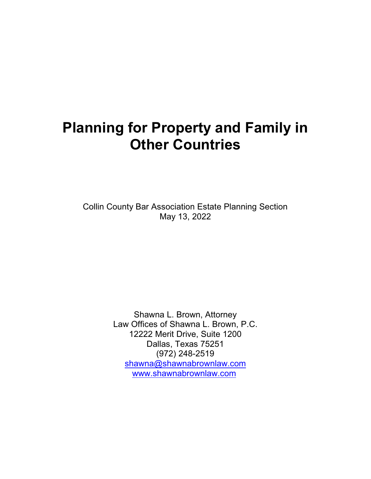# **Planning for Property and Family in Other Countries**

Collin County Bar Association Estate Planning Section May 13, 2022

> Shawna L. Brown, Attorney Law Offices of Shawna L. Brown, P.C. 12222 Merit Drive, Suite 1200 Dallas, Texas 75251 (972) 248-2519 [shawna@shawnabrownlaw.com](mailto:shawnalaw@sbcglobal.net) [www.shawnabrownlaw.com](http://www.shawnabrownlaw.com)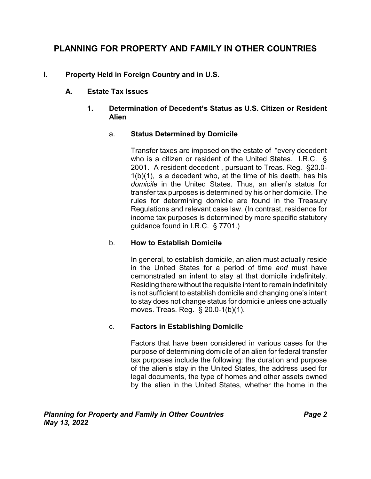# **PLANNING FOR PROPERTY AND FAMILY IN OTHER COUNTRIES**

# **I. Property Held in Foreign Country and in U.S.**

#### **A. Estate Tax Issues**

#### **1. Determination of Decedent's Status as U.S. Citizen or Resident Alien**

# a. **Status Determined by Domicile**

Transfer taxes are imposed on the estate of "every decedent who is a citizen or resident of the United States. I.R.C. § 2001. A resident decedent , pursuant to Treas. Reg. §20.0-  $1(b)(1)$ , is a decedent who, at the time of his death, has his *domicile* in the United States. Thus, an alien's status for transfer tax purposes is determined by his or her domicile. The rules for determining domicile are found in the Treasury Regulations and relevant case law. (In contrast, residence for income tax purposes is determined by more specific statutory guidance found in I.R.C. § 7701.)

#### b. **How to Establish Domicile**

In general, to establish domicile, an alien must actually reside in the United States for a period of time *and* must have demonstrated an intent to stay at that domicile indefinitely. Residing there without the requisite intent to remain indefinitely is not sufficient to establish domicile and changing one's intent to stay does not change status for domicile unless one actually moves. Treas. Reg. § 20.0-1(b)(1).

#### c. **Factors in Establishing Domicile**

Factors that have been considered in various cases for the purpose of determining domicile of an alien for federal transfer tax purposes include the following: the duration and purpose of the alien's stay in the United States, the address used for legal documents, the type of homes and other assets owned by the alien in the United States, whether the home in the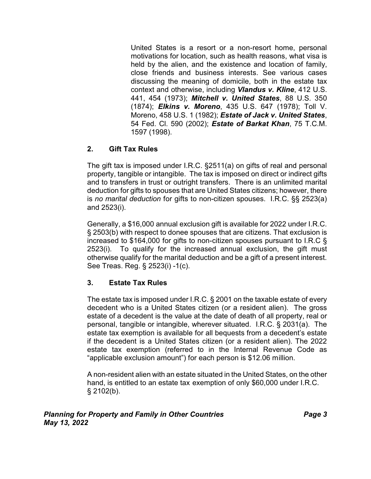United States is a resort or a non-resort home, personal motivations for location, such as health reasons, what visa is held by the alien, and the existence and location of family, close friends and business interests. See various cases discussing the meaning of domicile, both in the estate tax context and otherwise, including *Vlandus v. Kline*, 412 U.S. 441, 454 (1973); *Mitchell v. United States*, 88 U.S. 350 (1874); *Elkins v. Moreno*, 435 U.S. 647 (1978); Toll V. Moreno, 458 U.S. 1 (1982); *Estate of Jack v. United States*, 54 Fed. Cl. 590 (2002); *Estate of Barkat Khan*, 75 T.C.M. 1597 (1998).

# **2. Gift Tax Rules**

The gift tax is imposed under I.R.C. §2511(a) on gifts of real and personal property, tangible or intangible. The tax is imposed on direct or indirect gifts and to transfers in trust or outright transfers. There is an unlimited marital deduction for gifts to spouses that are United States citizens; however, there is *no marital deduction* for gifts to non-citizen spouses. I.R.C. §§ 2523(a) and 2523(i).

Generally, a \$16,000 annual exclusion gift is available for 2022 under I.R.C. § 2503(b) with respect to donee spouses that are citizens. That exclusion is increased to \$164,000 for gifts to non-citizen spouses pursuant to I.R.C § 2523(i). To qualify for the increased annual exclusion, the gift must otherwise qualify for the marital deduction and be a gift of a present interest. See Treas. Reg. § 2523(i) -1(c).

# **3. Estate Tax Rules**

The estate tax is imposed under I.R.C. § 2001 on the taxable estate of every decedent who is a United States citizen (or a resident alien). The gross estate of a decedent is the value at the date of death of all property, real or personal, tangible or intangible, wherever situated. I.R.C. § 2031(a). The estate tax exemption is available for all bequests from a decedent's estate if the decedent is a United States citizen (or a resident alien). The 2022 estate tax exemption (referred to in the Internal Revenue Code as "applicable exclusion amount") for each person is \$12.06 million.

A non-resident alien with an estate situated in the United States, on the other hand, is entitled to an estate tax exemption of only \$60,000 under I.R.C.  $§$  2102(b).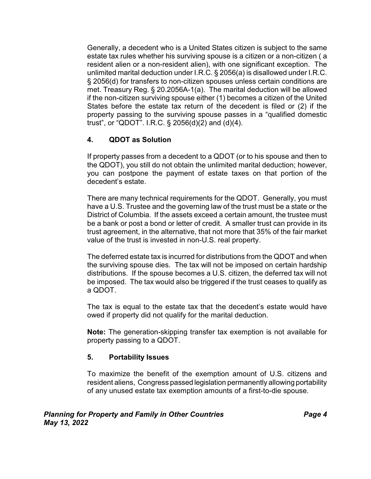Generally, a decedent who is a United States citizen is subject to the same estate tax rules whether his surviving spouse is a citizen or a non-citizen ( a resident alien or a non-resident alien), with one significant exception. The unlimited marital deduction under I.R.C. § 2056(a) is disallowed under I.R.C. § 2056(d) for transfers to non-citizen spouses unless certain conditions are met. Treasury Reg. § 20.2056A-1(a). The marital deduction will be allowed if the non-citizen surviving spouse either (1) becomes a citizen of the United States before the estate tax return of the decedent is filed or (2) if the property passing to the surviving spouse passes in a "qualified domestic trust", or "QDOT". I.R.C. § 2056(d)(2) and (d)(4).

# **4. QDOT as Solution**

If property passes from a decedent to a QDOT (or to his spouse and then to the QDOT), you still do not obtain the unlimited marital deduction; however, you can postpone the payment of estate taxes on that portion of the decedent's estate.

There are many technical requirements for the QDOT. Generally, you must have a U.S. Trustee and the governing law of the trust must be a state or the District of Columbia. If the assets exceed a certain amount, the trustee must be a bank or post a bond or letter of credit. A smaller trust can provide in its trust agreement, in the alternative, that not more that 35% of the fair market value of the trust is invested in non-U.S. real property.

The deferred estate tax is incurred for distributions from the QDOT and when the surviving spouse dies. The tax will not be imposed on certain hardship distributions. If the spouse becomes a U.S. citizen, the deferred tax will not be imposed. The tax would also be triggered if the trust ceases to qualify as a QDOT.

The tax is equal to the estate tax that the decedent's estate would have owed if property did not qualify for the marital deduction.

**Note:** The generation-skipping transfer tax exemption is not available for property passing to a QDOT.

#### **5. Portability Issues**

To maximize the benefit of the exemption amount of U.S. citizens and resident aliens, Congress passed legislation permanently allowing portability of any unused estate tax exemption amounts of a first-to-die spouse.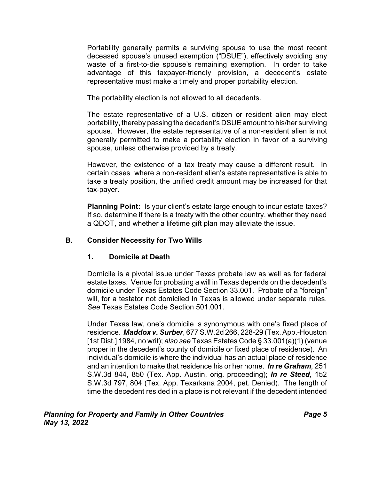Portability generally permits a surviving spouse to use the most recent deceased spouse's unused exemption ("DSUE"), effectively avoiding any waste of a first-to-die spouse's remaining exemption. In order to take advantage of this taxpayer-friendly provision, a decedent's estate representative must make a timely and proper portability election.

The portability election is not allowed to all decedents.

The estate representative of a U.S. citizen or resident alien may elect portability, thereby passing the decedent's DSUE amount to his/her surviving spouse. However, the estate representative of a non-resident alien is not generally permitted to make a portability election in favor of a surviving spouse, unless otherwise provided by a treaty.

However, the existence of a tax treaty may cause a different result. In certain cases where a non-resident alien's estate representative is able to take a treaty position, the unified credit amount may be increased for that tax-payer.

**Planning Point:** Is your client's estate large enough to incur estate taxes? If so, determine if there is a treaty with the other country, whether they need a QDOT, and whether a lifetime gift plan may alleviate the issue.

#### **B. Consider Necessity for Two Wills**

#### **1. Domicile at Death**

Domicile is a pivotal issue under Texas probate law as well as for federal estate taxes. Venue for probating a will in Texas depends on the decedent's domicile under Texas Estates Code Section 33.001. Probate of a "foreign" will, for a testator not domiciled in Texas is allowed under separate rules. *See* Texas Estates Code Section 501.001.

Under Texas law, one's domicile is synonymous with one's fixed place of residence. *Maddox v. Surber*, 677 S.W.2d 266, 228-29 (Tex. App.-Houston [1st Dist.] 1984, no writ); *also see* Texas Estates Code § 33.001(a)(1) (venue proper in the decedent's county of domicile or fixed place of residence). An individual's domicile is where the individual has an actual place of residence and an intention to make that residence his or her home. *In re Graham,* 251 S.W.3d 844, 850 (Tex. App. Austin, orig. proceeding); *In re Steed,* 152 S.W.3d 797, 804 (Tex. App. Texarkana 2004, pet. Denied). The length of time the decedent resided in a place is not relevant if the decedent intended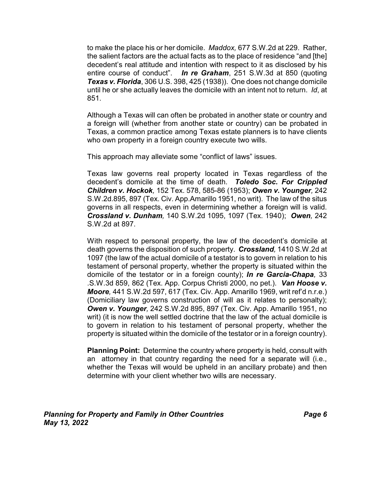to make the place his or her domicile. *Maddox,* 677 S.W.2d at 229. Rather, the salient factors are the actual facts as to the place of residence "and [the] decedent's real attitude and intention with respect to it as disclosed by his entire course of conduct". *In re Graham*, 251 S.W.3d at 850 (quoting *Texas v. Florida*, 306 U.S. 398, 425 (1938)). One does not change domicile until he or she actually leaves the domicile with an intent not to return. *Id*, at 851.

Although a Texas will can often be probated in another state or country and a foreign will (whether from another state or country) can be probated in Texas, a common practice among Texas estate planners is to have clients who own property in a foreign country execute two wills.

This approach may alleviate some "conflict of laws" issues.

Texas law governs real property located in Texas regardless of the decedent's domicile at the time of death. *Toledo Soc. For Crippled Children v. Hockok,* 152 Tex. 578, 585-86 (1953); *Owen v. Younger,* 242 S.W.2d.895, 897 (Tex. Civ. App.Amarillo 1951, no writ). The law of the situs governs in all respects, even in determining whether a foreign will is valid. *Crossland v. Dunham,* 140 S.W.2d 1095, 1097 (Tex. 1940); *Owen,* 242 S.W.2d at 897.

With respect to personal property, the law of the decedent's domicile at death governs the disposition of such property. *Crossland,* 1410 S.W.2d at 1097 (the law of the actual domicile of a testator is to govern in relation to his testament of personal property, whether the property is situated within the domicile of the testator or in a foreign county); *In re Garcia-Chapa,* 33 .S.W.3d 859, 862 (Tex. App. Corpus Christi 2000, no pet.). *Van Hoose v. Moore,* 441 S.W.2d 597, 617 (Tex. Civ. App. Amarillo 1969, writ ref'd n.r.e.) (Domiciliary law governs construction of will as it relates to personalty); *Owen v. Younger,* 242 S.W.2d 895, 897 (Tex. Civ. App. Amarillo 1951, no writ) (it is now the well settled doctrine that the law of the actual domicile is to govern in relation to his testament of personal property, whether the property is situated within the domicile of the testator or in a foreign country).

**Planning Point:** Determine the country where property is held, consult with an attorney in that country regarding the need for a separate will (i.e., whether the Texas will would be upheld in an ancillary probate) and then determine with your client whether two wills are necessary.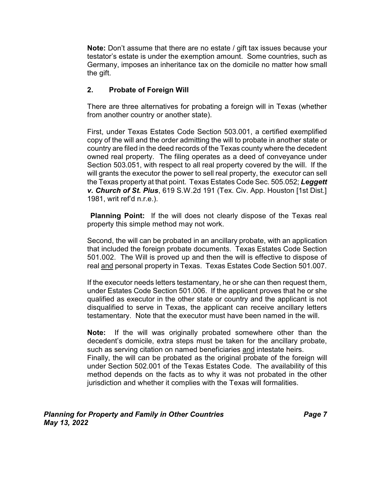**Note:** Don't assume that there are no estate / gift tax issues because your testator's estate is under the exemption amount. Some countries, such as Germany, imposes an inheritance tax on the domicile no matter how small the gift.

# **2. Probate of Foreign Will**

There are three alternatives for probating a foreign will in Texas (whether from another country or another state).

First, under Texas Estates Code Section 503.001, a certified exemplified copy of the will and the order admitting the will to probate in another state or country are filed in the deed records of the Texas county where the decedent owned real property. The filing operates as a deed of conveyance under Section 503.051, with respect to all real property covered by the will. If the will grants the executor the power to sell real property, the executor can sell the Texas property at that point. Texas Estates Code Sec. 505.052; *Leggett v. Church of St. Pius*, 619 S.W.2d 191 (Tex. Civ. App. Houston [1st Dist.] 1981, writ ref'd n.r.e.).

**Planning Point:** If the will does not clearly dispose of the Texas real property this simple method may not work.

Second, the will can be probated in an ancillary probate, with an application that included the foreign probate documents. Texas Estates Code Section 501.002. The Will is proved up and then the will is effective to dispose of real and personal property in Texas. Texas Estates Code Section 501.007.

If the executor needs letters testamentary, he or she can then request them, under Estates Code Section 501.006. If the applicant proves that he or she qualified as executor in the other state or country and the applicant is not disqualified to serve in Texas, the applicant can receive ancillary letters testamentary. Note that the executor must have been named in the will.

**Note:** If the will was originally probated somewhere other than the decedent's domicile, extra steps must be taken for the ancillary probate, such as serving citation on named beneficiaries and intestate heirs. Finally, the will can be probated as the original probate of the foreign will

under Section 502.001 of the Texas Estates Code. The availability of this method depends on the facts as to why it was not probated in the other jurisdiction and whether it complies with the Texas will formalities.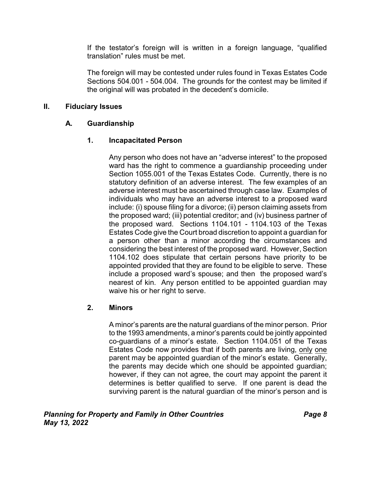If the testator's foreign will is written in a foreign language, "qualified translation" rules must be met.

The foreign will may be contested under rules found in Texas Estates Code Sections 504.001 - 504.004. The grounds for the contest may be limited if the original will was probated in the decedent's domicile.

#### **II. Fiduciary Issues**

#### **A. Guardianship**

#### **1. Incapacitated Person**

Any person who does not have an "adverse interest" to the proposed ward has the right to commence a guardianship proceeding under Section 1055.001 of the Texas Estates Code. Currently, there is no statutory definition of an adverse interest. The few examples of an adverse interest must be ascertained through case law. Examples of individuals who may have an adverse interest to a proposed ward include: (i) spouse filing for a divorce; (ii) person claiming assets from the proposed ward; (iii) potential creditor; and (iv) business partner of the proposed ward. Sections 1104.101 - 1104.103 of the Texas Estates Code give the Court broad discretion to appoint a guardian for a person other than a minor according the circumstances and considering the best interest of the proposed ward. However, Section 1104.102 does stipulate that certain persons have priority to be appointed provided that they are found to be eligible to serve. These include a proposed ward's spouse; and then the proposed ward's nearest of kin. Any person entitled to be appointed guardian may waive his or her right to serve.

#### **2. Minors**

A minor's parents are the natural guardians of the minor person. Prior to the 1993 amendments, a minor's parents could be jointly appointed co-guardians of a minor's estate. Section 1104.051 of the Texas Estates Code now provides that if both parents are living, only one parent may be appointed guardian of the minor's estate. Generally, the parents may decide which one should be appointed guardian; however, if they can not agree, the court may appoint the parent it determines is better qualified to serve. If one parent is dead the surviving parent is the natural guardian of the minor's person and is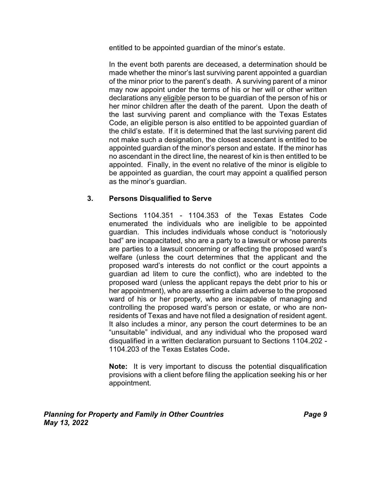entitled to be appointed guardian of the minor's estate.

In the event both parents are deceased, a determination should be made whether the minor's last surviving parent appointed a guardian of the minor prior to the parent's death. A surviving parent of a minor may now appoint under the terms of his or her will or other written declarations any eligible person to be guardian of the person of his or her minor children after the death of the parent. Upon the death of the last surviving parent and compliance with the Texas Estates Code, an eligible person is also entitled to be appointed guardian of the child's estate. If it is determined that the last surviving parent did not make such a designation, the closest ascendant is entitled to be appointed guardian of the minor's person and estate. If the minor has no ascendant in the direct line, the nearest of kin is then entitled to be appointed. Finally, in the event no relative of the minor is eligible to be appointed as guardian, the court may appoint a qualified person as the minor's guardian.

#### **3. Persons Disqualified to Serve**

Sections 1104.351 - 1104.353 of the Texas Estates Code enumerated the individuals who are ineligible to be appointed guardian. This includes individuals whose conduct is "notoriously bad" are incapacitated, sho are a party to a lawsuit or whose parents are parties to a lawsuit concerning or affecting the proposed ward's welfare (unless the court determines that the applicant and the proposed ward's interests do not conflict or the court appoints a guardian ad litem to cure the conflict), who are indebted to the proposed ward (unless the applicant repays the debt prior to his or her appointment), who are asserting a claim adverse to the proposed ward of his or her property, who are incapable of managing and controlling the proposed ward's person or estate, or who are nonresidents of Texas and have not filed a designation of resident agent. It also includes a minor, any person the court determines to be an "unsuitable" individual, and any individual who the proposed ward disqualified in a written declaration pursuant to Sections 1104.202 - 1104.203 of the Texas Estates Code**.**

**Note:** It is very important to discuss the potential disqualification provisions with a client before filing the application seeking his or her appointment.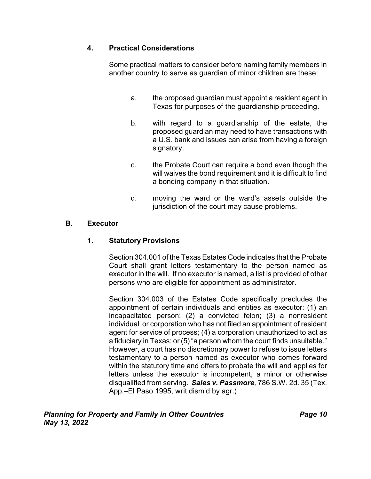# **4. Practical Considerations**

Some practical matters to consider before naming family members in another country to serve as guardian of minor children are these:

- a. the proposed guardian must appoint a resident agent in Texas for purposes of the guardianship proceeding.
- b. with regard to a guardianship of the estate, the proposed guardian may need to have transactions with a U.S. bank and issues can arise from having a foreign signatory.
- c. the Probate Court can require a bond even though the will waives the bond requirement and it is difficult to find a bonding company in that situation.
- d. moving the ward or the ward's assets outside the jurisdiction of the court may cause problems.

# **B. Executor**

#### **1. Statutory Provisions**

Section 304.001 of the Texas Estates Code indicates that the Probate Court shall grant letters testamentary to the person named as executor in the will. If no executor is named, a list is provided of other persons who are eligible for appointment as administrator.

Section 304.003 of the Estates Code specifically precludes the appointment of certain individuals and entities as executor: (1) an incapacitated person; (2) a convicted felon; (3) a nonresident individual or corporation who has not filed an appointment of resident agent for service of process; (4) a corporation unauthorized to act as a fiduciary in Texas; or (5) "a person whom the court finds unsuitable." However, a court has no discretionary power to refuse to issue letters testamentary to a person named as executor who comes forward within the statutory time and offers to probate the will and applies for letters unless the executor is incompetent, a minor or otherwise disqualified from serving. *Sales v. Passmore,* 786 S.W. 2d. 35 (Tex. App.–El Paso 1995, writ dism'd by agr.)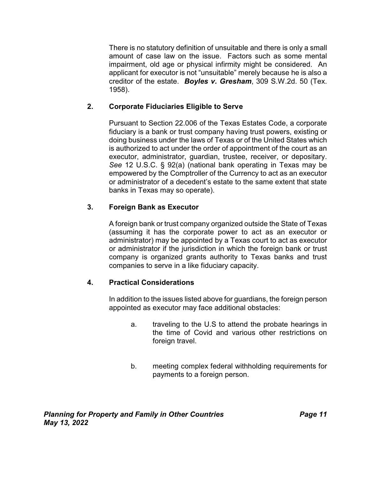There is no statutory definition of unsuitable and there is only a small amount of case law on the issue. Factors such as some mental impairment, old age or physical infirmity might be considered. An applicant for executor is not "unsuitable" merely because he is also a creditor of the estate. *Boyles v. Gresham*, 309 S.W.2d. 50 (Tex. 1958).

#### **2. Corporate Fiduciaries Eligible to Serve**

Pursuant to Section 22.006 of the Texas Estates Code, a corporate fiduciary is a bank or trust company having trust powers, existing or doing business under the laws of Texas or of the United States which is authorized to act under the order of appointment of the court as an executor, administrator, guardian, trustee, receiver, or depositary. *See* 12 U.S.C. § 92(a) (national bank operating in Texas may be empowered by the Comptroller of the Currency to act as an executor or administrator of a decedent's estate to the same extent that state banks in Texas may so operate).

# **3. Foreign Bank as Executor**

A foreign bank or trust company organized outside the State of Texas (assuming it has the corporate power to act as an executor or administrator) may be appointed by a Texas court to act as executor or administrator if the jurisdiction in which the foreign bank or trust company is organized grants authority to Texas banks and trust companies to serve in a like fiduciary capacity.

# **4. Practical Considerations**

In addition to the issues listed above for guardians, the foreign person appointed as executor may face additional obstacles:

- a. traveling to the U.S to attend the probate hearings in the time of Covid and various other restrictions on foreign travel.
- b. meeting complex federal withholding requirements for payments to a foreign person.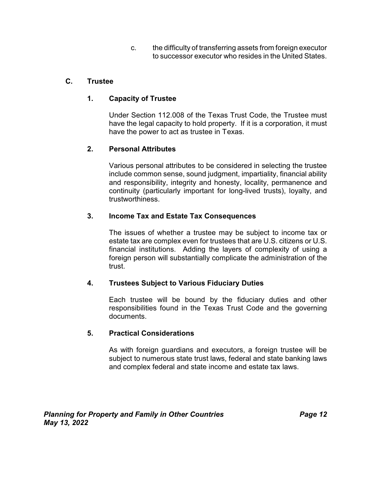c. the difficulty of transferring assets from foreign executor to successor executor who resides in the United States.

# **C. Trustee**

# **1. Capacity of Trustee**

Under Section 112.008 of the Texas Trust Code, the Trustee must have the legal capacity to hold property. If it is a corporation, it must have the power to act as trustee in Texas.

# **2. Personal Attributes**

Various personal attributes to be considered in selecting the trustee include common sense, sound judgment, impartiality, financial ability and responsibility, integrity and honesty, locality, permanence and continuity (particularly important for long-lived trusts), loyalty, and trustworthiness.

# **3. Income Tax and Estate Tax Consequences**

The issues of whether a trustee may be subject to income tax or estate tax are complex even for trustees that are U.S. citizens or U.S. financial institutions. Adding the layers of complexity of using a foreign person will substantially complicate the administration of the trust.

#### **4. Trustees Subject to Various Fiduciary Duties**

Each trustee will be bound by the fiduciary duties and other responsibilities found in the Texas Trust Code and the governing documents.

#### **5. Practical Considerations**

As with foreign guardians and executors, a foreign trustee will be subject to numerous state trust laws, federal and state banking laws and complex federal and state income and estate tax laws.